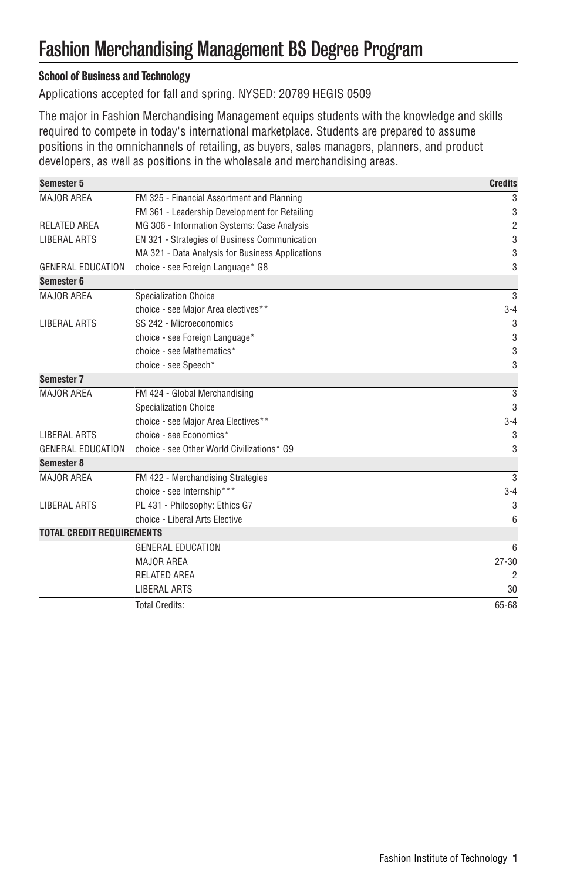# Fashion Merchandising Management BS Degree Program

## School of Business and Technology

Applications accepted for fall and spring. NYSED: 20789 HEGIS 0509

The major in Fashion Merchandising Management equips students with the knowledge and skills required to compete in today's international marketplace. Students are prepared to assume positions in the omnichannels of retailing, as buyers, sales managers, planners, and product developers, as well as positions in the wholesale and merchandising areas.

| Semester 5                       |                                                  | <b>Credits</b> |
|----------------------------------|--------------------------------------------------|----------------|
| <b>MAJOR AREA</b>                | FM 325 - Financial Assortment and Planning       | 3              |
|                                  | FM 361 - Leadership Development for Retailing    | 3              |
| <b>RELATED AREA</b>              | MG 306 - Information Systems: Case Analysis      | $\overline{c}$ |
| <b>LIBERAL ARTS</b>              | EN 321 - Strategies of Business Communication    | 3              |
|                                  | MA 321 - Data Analysis for Business Applications | 3              |
| <b>GENERAL EDUCATION</b>         | choice - see Foreign Language* G8                | 3              |
| Semester 6                       |                                                  |                |
| MAJOR AREA                       | <b>Specialization Choice</b>                     | 3              |
|                                  | choice - see Major Area electives**              | $3 - 4$        |
| <b>LIBERAL ARTS</b>              | SS 242 - Microeconomics                          | 3              |
|                                  | choice - see Foreign Language*                   | 3              |
|                                  | choice - see Mathematics*                        | 3              |
|                                  | choice - see Speech*                             | 3              |
| Semester 7                       |                                                  |                |
| MAJOR AREA                       | FM 424 - Global Merchandising                    | 3              |
|                                  | <b>Specialization Choice</b>                     | 3              |
|                                  | choice - see Major Area Electives**              | $3 - 4$        |
| <b>LIBERAL ARTS</b>              | choice - see Economics*                          | 3              |
| GENERAL EDUCATION                | choice - see Other World Civilizations* G9       | 3              |
| Semester 8                       |                                                  |                |
| <b>MAJOR AREA</b>                | FM 422 - Merchandising Strategies                | 3              |
|                                  | choice - see Internship***                       | $3 - 4$        |
| <b>LIBERAL ARTS</b>              | PL 431 - Philosophy: Ethics G7                   | 3              |
|                                  | choice - Liberal Arts Elective                   | 6              |
| <b>TOTAL CREDIT REQUIREMENTS</b> |                                                  |                |
|                                  | <b>GENERAL EDUCATION</b>                         | 6              |
|                                  | MAJOR AREA                                       | $27 - 30$      |
|                                  | RELATED AREA                                     | 2              |
|                                  | LIBERAL ARTS                                     | 30             |
|                                  | <b>Total Credits:</b>                            | 65-68          |